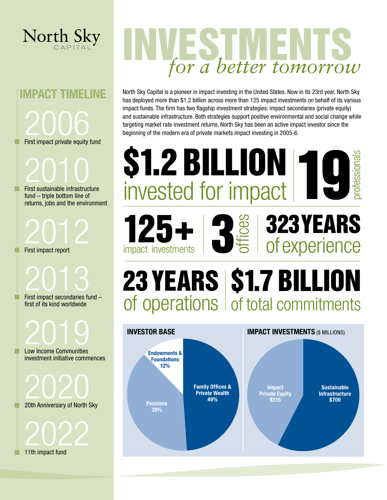

# IMPACT TIMELINE 2006 First impact private equity fund

2010

First sustainable infrastructure fund – triple bottom line of returns, jobs and the environment

2012 First impact report

2013 First impact secondaries fund – first of its kind worldwide

2019 Low Income Communities investment initiative commences

2020<br><sup>20th Anniversary of North Sky</sup>

2022

11th impact fund

# for a better tomorrow

North Sky Capital is a pioneer in impact investing in the United States. Now in its 23rd year, North Sky has deployed more than \$1.2 billion across more than 125 impact investments on behalf of its various impact funds. The firm has two flagship investment strategies: impact secondaries (private equity) and sustainable infrastructure. Both strategies support positive environmental and social change while targeting market rate investment returns. North Sky has been an active impact investor since the beginning of the modern era of private markets impact investing in 2005-6.

**\$1.2 BILLION 10**<br>invested for impact

professionals

Sustainable Infrastructure \$700

**INVESTOR BASE IMPACT INVESTMENTS** (\$ MILLIONS)

23 YEARS | \$1.7 BILLION

323 YEARS

Impact Private Equity \$515

of operations of total commitments

Family Offices & Private Wealth

Endowments & Foundations 12%

125+

impact investments

**Pensions** 39%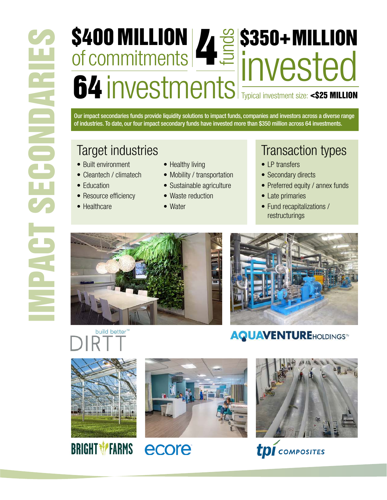# \$400 MILLION of commitments 4<sup>g</sup>S350+MILLION **64 investments Typical investment size: <\$25 MILLION**

Our impact secondaries funds provide liquidity solutions to impact funds, companies and investors across a diverse range of industries. To date, our four impact secondary funds have invested more than \$350 million across 64 investments.

- Built environment
- Cleantech / climatech
- Education
- Resource efficiency
- Healthcare
- Healthy living
- Mobility / transportation
- Sustainable agriculture
- Waste reduction
- Water

### Target industries Transaction types

- I P transfers
- Secondary directs
- Preferred equity / annex funds
- Late primaries
- Fund recapitalizations / restructurings







### **AQUAVENTUREHOLDINGS™**



**BRIGHT \*FARMS** 



ecore





**tpi** composites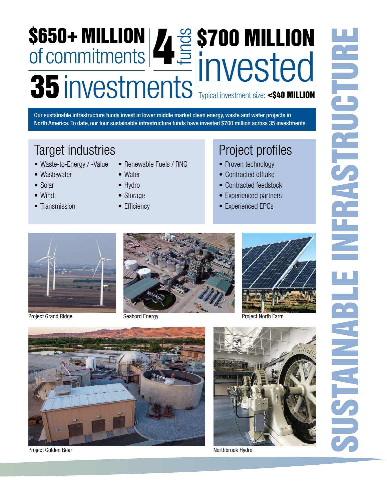## \$650+ MILLION of commitments WES 200 MILLION **35 investments Typical investment size: <\$40 MILLION**

Our sustainable infrastructure funds invest in lower middle market clean energy, waste and water projects in North America. To date, our four sustainable infrastructure funds have invested \$700 million across 35 investments.

### Target industries **Project profiles**

- Waste-to-Energy / -Value
- Wastewater
- Solar
- Wind
- Transmission
- Renewable Fuels / RNG
- Water
- Hydro
- Storage
- Efficiency

- Proven technology
- Contracted offtake
- Contracted feedstock
- Experienced partners
- Experienced EPCs



Project Grand Ridge Seabord Energy





Project North Farm



Project Golden Bear